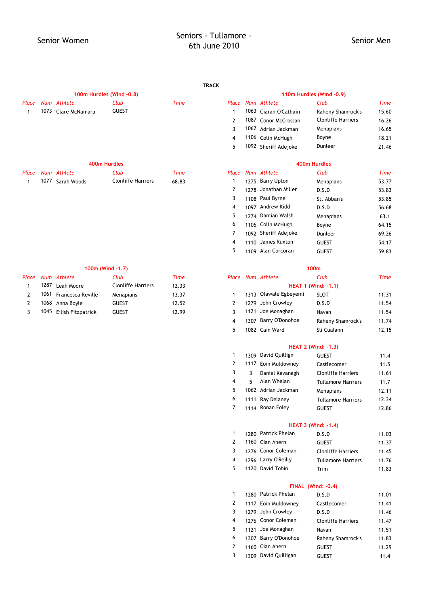### **TRACK**

|       | 100m Hurdles (Wind -0.8) |                     |                    |                   | 110m Hurdles (Wind -0.9) |  |                       |                           |             |
|-------|--------------------------|---------------------|--------------------|-------------------|--------------------------|--|-----------------------|---------------------------|-------------|
| Place |                          | Num Athlete         | Club               | <b>Time</b>       | Place                    |  | Num Athlete           | Club                      | <b>Time</b> |
|       |                          | 1073 Clare McNamara | <b>GUEST</b>       |                   |                          |  | 1063 Ciaran O'Cathain | Raheny Shamrock's         | 15.60       |
|       |                          |                     |                    |                   | $\mathcal{P}$            |  | 1087 Conor McCrossan  | <b>Clonliffe Harriers</b> | 16.26       |
|       |                          |                     |                    |                   |                          |  | 1062 Adrian Jackman   | Menapians                 | 16.65       |
|       |                          |                     |                    |                   | 4                        |  | 1106 Colin McHugh     | Boyne                     | 18.21       |
|       |                          |                     |                    |                   | 5.                       |  | 1092 Sheriff Adejoke  | Dunleer                   | 21.46       |
|       |                          |                     | 400m Hurdles       |                   |                          |  |                       | 400m Hurdles              |             |
| Place | <b>Num</b>               | Athlete             | Club               | <b>Time</b>       | Place                    |  | Num Athlete           | Club                      | <b>Time</b> |
|       |                          | 1077 Sarah Woods    | Clonliffe Harriers | 68 R <sub>3</sub> |                          |  | 1275 Barry Unton      | Monanians                 | 53 77       |

| Place |      | Num Athlete             | Club                      | Time  |  | Place Num Athlete     | Club                       | Time  |
|-------|------|-------------------------|---------------------------|-------|--|-----------------------|----------------------------|-------|
|       | 1287 | Leah Moore              | <b>Clonliffe Harriers</b> | 12.33 |  |                       | <b>HEAT 1 (Wind: -1.1)</b> |       |
|       |      | 1061 Francesca Reville  | Menapians                 | 13.37 |  | 1313 Olawale Egbeyemi | <b>SLOT</b>                | 11.31 |
|       |      | 1068 Anna Boyle         | <b>GUEST</b>              | 12.52 |  | 1279 John Crowley     | D.S.D                      | 11.54 |
|       |      | 1045 Eilish Fitzpatrick | <b>GUEST</b>              | 12.99 |  | 1121 Joe Monaghan     | Navan                      | 11.54 |

| uce |      | <b>NUILL</b> AURCLE | cuv                       | ,,,,,       | riuce          | <b>NUMI AURELE</b>    | cup                       | 111112      |
|-----|------|---------------------|---------------------------|-------------|----------------|-----------------------|---------------------------|-------------|
| 1   | 1073 | Clare McNamara      | <b>GUEST</b>              |             | $\mathbf{1}$   | 1063 Ciaran O'Cathain | Raheny Shamrock's         | 15.60       |
|     |      |                     |                           |             | $\overline{2}$ | 1087 Conor McCrossan  | <b>Clonliffe Harriers</b> | 16.26       |
|     |      |                     |                           |             | 3              | 1062 Adrian Jackman   | Menapians                 | 16.65       |
|     |      |                     |                           |             | 4              | 1106 Colin McHugh     | Boyne                     | 18.21       |
|     |      |                     |                           |             | 5              | 1092 Sheriff Adejoke  | Dunleer                   | 21.46       |
|     |      |                     | 400m Hurdles              |             |                |                       | 400m Hurdles              |             |
| ace |      | Num Athlete         | Club                      | <b>Time</b> | Place          | Num Athlete           | Club                      | <b>Time</b> |
| 1   | 1077 | Sarah Woods         | <b>Clonliffe Harriers</b> | 68.83       | 1              | 1275 Barry Upton      | Menapians                 | 53.77       |
|     |      |                     |                           |             | 2              | 1278 Jonathan Miller  | D.S.D                     | 53.83       |
|     |      |                     |                           |             | 3              | 1108 Paul Byrne       | St. Abban's               | 53.85       |
|     |      |                     |                           |             | 4              | 1097 Andrew Kidd      | D.S.D                     | 56.68       |
|     |      |                     |                           |             | 5              | 1274 Damian Walsh     | Menapians                 | 63.1        |
|     |      |                     |                           |             | 6              | 1106 Colin McHugh     | Boyne                     | 64.15       |
|     |      |                     |                           |             | 7              | 1092 Sheriff Adejoke  | Dunleer                   | 69.26       |
|     |      |                     |                           |             | 4              | 1110 James Ruxton     | <b>GUEST</b>              | 54.17       |
|     |      |                     |                           |             | 5              | 1109 Alan Corcoran    | <b>GUEST</b>              | 59.83       |
|     |      |                     |                           |             |                |                       |                           |             |

|                | 100m (Wind -1.7)          |       |   |                       | 100 <sub>m</sub>           |       |
|----------------|---------------------------|-------|---|-----------------------|----------------------------|-------|
|                | Club                      | Time  |   | Place Num Athlete     | Club                       | Time  |
|                | <b>Clonliffe Harriers</b> | 12.33 |   |                       | <b>HEAT 1 (Wind: -1.1)</b> |       |
| <b>Reville</b> | Menapians                 | 13.37 |   | 1313 Olawale Egbeyemi | <b>SLOT</b>                | 11.31 |
|                | <b>GUEST</b>              | 12.52 |   | 1279 John Crowley     | D.S.D                      | 11.54 |
| atrick         | <b>GUEST</b>              | 12.99 |   | 1121 Joe Monaghan     | Navan                      | 11.54 |
|                |                           |       | 4 | 1307 Barry O'Donohoe  | Raheny Shamrock's          | 11.74 |
|                |                           |       | 5 | 1082 Cain Ward        | Sli Cualann                | 12.15 |

### **HEAT 2 (Wind: -1.3)**

| $\mathbf{1}$ |   | 1309 David Quillign | <b>GUEST</b>              | 11.4  |
|--------------|---|---------------------|---------------------------|-------|
| 2            |   | 1117 Eoin Muldowney | Castlecomer               | 11.5  |
| 3            | 3 | Daniel Kavanagh     | <b>Clonliffe Harriers</b> | 11.61 |
| 4            | 5 | Alan Whelan         | <b>Tullamore Harriers</b> | 11.7  |
| 5            |   | 1062 Adrian Jackman | Menapians                 | 12.11 |
| 6            |   | 1111 Ray Delaney    | <b>Tullamore Harriers</b> | 12.34 |
| 7            |   | 1114 Ronan Foley    | <b>GUEST</b>              | 12.86 |

### **HEAT 3 (Wind: -1.4)**

| $1 \quad$      | 1280 Patrick Phelan  | D.S.D                     | 11.03 |
|----------------|----------------------|---------------------------|-------|
|                | 2 1160 Cian Ahern    | <b>GUEST</b>              | 11.37 |
|                | 3 1276 Conor Coleman | <b>Clonliffe Harriers</b> | 11.45 |
| $\overline{4}$ | 1296 Larry O'Reilly  | <b>Tullamore Harriers</b> | 11.76 |
|                | 5 1120 David Tobin   | Trim                      | 11.83 |

## **FINAL (Wind: -0.4)**

| 1 | 1280 Patrick Phelan  | D.S.D                     | 11.01 |
|---|----------------------|---------------------------|-------|
| 2 | 1117 Eoin Muldowney  | Castlecomer               | 11.41 |
| 3 | 1279 John Crowley    | D.S.D                     | 11.46 |
| 4 | 1276 Conor Coleman   | <b>Clonliffe Harriers</b> | 11.47 |
| 5 | 1121 Joe Monaghan    | Navan                     | 11.51 |
| 6 | 1307 Barry O'Donohoe | Raheny Shamrock's         | 11.83 |
| 2 | 1160 Cian Ahern      | <b>GUEST</b>              | 11.29 |
| 3 | 1309 David Quilligan | <b>GUEST</b>              | 11.4  |
|   |                      |                           |       |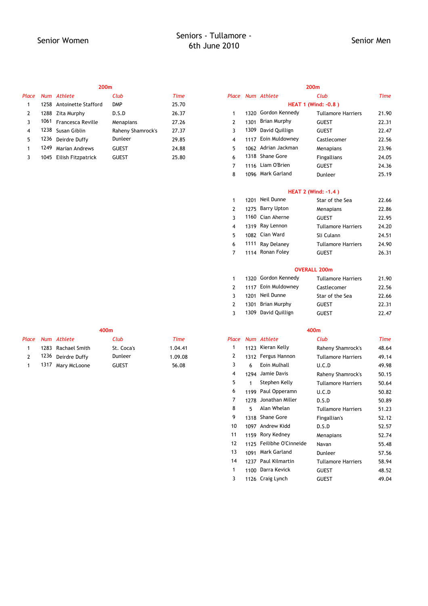|       | 200 <sub>m</sub> |                          |                   |       |   | 200 <sub>m</sub>           |                     |                           |       |  |  |
|-------|------------------|--------------------------|-------------------|-------|---|----------------------------|---------------------|---------------------------|-------|--|--|
| Place |                  | Num Athlete              | Club              | Time  |   |                            | Place Num Athlete   | Club                      | Time  |  |  |
|       |                  | 1258 Antoinette Stafford | <b>DMP</b>        | 25.70 |   | <b>HEAT 1 (Wind: -0.8)</b> |                     |                           |       |  |  |
| 2     |                  | 1288 Zita Murphy         | D.S.D             | 26.37 |   |                            | 1320 Gordon Kennedy | <b>Tullamore Harriers</b> | 21.90 |  |  |
|       |                  | 1061 Francesca Reville   | Menapians         | 27.26 |   | 1301                       | Brian Murphy        | <b>GUEST</b>              | 22.31 |  |  |
| 4     |                  | 1238 Susan Giblin        | Raheny Shamrock's | 27.37 |   | 1309                       | David Quillign      | <b>GUEST</b>              | 22.47 |  |  |
| 5.    | 1236             | Deirdre Duffy            | Dunleer           | 29.85 |   |                            | 1117 Eoin Muldowney | Castlecomer               | 22.56 |  |  |
|       | 1249             | Marian Andrews           | <b>GUEST</b>      | 24.88 |   | 1062                       | Adrian Jackman      | Menapians                 | 23.96 |  |  |
|       |                  | 1045 Eilish Fitzpatrick  | <b>GUEST</b>      | 25.80 | 6 |                            | 1318 Shane Gore     | <b>Fingallians</b>        | 24.05 |  |  |
|       |                  |                          |                   |       |   |                            |                     |                           |       |  |  |

| асе |      | Num Athlete                | Club              | Time  |                |      | Place Num Athlete   | Club                       | Time  |
|-----|------|----------------------------|-------------------|-------|----------------|------|---------------------|----------------------------|-------|
| 1   | 1258 | <b>Antoinette Stafford</b> | <b>DMP</b>        | 25.70 |                |      |                     | <b>HEAT 1 (Wind: -0.8)</b> |       |
| 2   |      | 1288 Zita Murphy           | D.S.D             | 26.37 | 1              |      | 1320 Gordon Kennedy | <b>Tullamore Harriers</b>  | 21.90 |
| 3   | 1061 | Francesca Reville          | Menapians         | 27.26 | $\overline{2}$ | 1301 | Brian Murphy        | <b>GUEST</b>               | 22.31 |
| 4   | 1238 | Susan Giblin               | Raheny Shamrock's | 27.37 | 3              | 1309 | David Quillign      | <b>GUEST</b>               | 22.47 |
| 5   | 1236 | Deirdre Duffy              | Dunleer           | 29.85 | 4              | 1117 | Eoin Muldowney      | Castlecomer                | 22.56 |
| 1   | 1249 | <b>Marian Andrews</b>      | <b>GUEST</b>      | 24.88 | 5              |      | 1062 Adrian Jackman | Menapians                  | 23.96 |
| 3   |      | 1045 Eilish Fitzpatrick    | <b>GUEST</b>      | 25.80 | 6              |      | 1318 Shane Gore     | Fingallians                | 24.05 |
|     |      |                            |                   |       | $\overline{7}$ |      | 1116 Liam O'Brien   | <b>GUEST</b>               | 24.36 |
|     |      |                            |                   |       | 8              |      | 1096 Mark Garland   | Dunleer                    | 25.19 |
|     |      |                            |                   |       |                |      |                     | <b>HEAT 2 (Wind: -1.4)</b> |       |
|     |      |                            |                   |       | $\mathbf{1}$   | 1201 | Neil Dunne          | Star of the Sea            | 22.66 |
|     |      |                            |                   |       | 2              |      | 1275 Barry Upton    | Menapians                  | 22.86 |
|     |      |                            |                   |       | 3              |      | 1160 Cian Aherne    | <b>GUEST</b>               | 22.95 |
|     |      |                            |                   |       | 4              |      | 1319 Ray Lennon     | <b>Tullamore Harriers</b>  | 24.20 |
|     |      |                            |                   |       | 5              |      | 1082 Cian Ward      | Sli Culann                 | 24.51 |
|     |      |                            |                   |       | 6              | 1111 | Ray Delaney         | <b>Tullamore Harriers</b>  | 24.90 |
|     |      |                            |                   |       | $\overline{7}$ |      | 1114 Ronan Foley    | <b>GUEST</b>               | 26.31 |
|     |      |                            |                   |       |                |      | <b>OVERALL 200m</b> |                            |       |
|     |      |                            |                   |       | 1              |      | 1320 Gordon Kennedy | <b>Tullamore Harriers</b>  | 21.90 |
|     |      |                            |                   |       |                |      |                     |                            |       |

| 7            | 1114 Ronan Foley    | <b>GUEST</b>              | 26.31 |
|--------------|---------------------|---------------------------|-------|
|              |                     | <b>OVERALL 200m</b>       |       |
| $1 \quad$    | 1320 Gordon Kennedy | <b>Tullamore Harriers</b> | 21.90 |
| $\mathbf{2}$ | 1117 Eoin Muldowney | Castlecomer               | 22.56 |
| 3            | 1201 Neil Dunne     | Star of the Sea           | 22.66 |
|              |                     |                           |       |

|                | $L = \prod_{i=1}^{n}$ LUIII MULUU WIIL Y | Castleconier    | <b>44.JO</b> |
|----------------|------------------------------------------|-----------------|--------------|
|                | 3 1201 Neil Dunne                        | Star of the Sea | 22.66        |
|                | 2 1301 Brian Murphy                      | <b>GUEST</b>    | 22.31        |
| $\overline{3}$ | 1309 David Ouillign                      | <b>GUEST</b>    | 22.47        |
|                |                                          |                 |              |

|               | 700H |               |              | יייטד       |       |      |                          |                           |             |
|---------------|------|---------------|--------------|-------------|-------|------|--------------------------|---------------------------|-------------|
| Place         |      | Num Athlete   | Club         | <b>Time</b> | Place |      | Num Athlete              | Club                      | <b>Time</b> |
| 1             | 1283 | Rachael Smith | St. Coca's   | 1.04.41     |       |      | 1123 Kieran Kelly        | Raheny Shamrock's         | 48.64       |
| $\mathcal{P}$ | 1236 | Deirdre Duffy | Dunleer      | 1.09.08     | 2     |      | 1312 Fergus Hannon       | <b>Tullamore Harriers</b> | 49.14       |
| 1             | 1317 | Mary McLoone  | <b>GUEST</b> | 56.08       | 3     | 6    | Eoin Mulhall             | U.C.D                     | 49.98       |
|               |      |               |              |             | 4     |      | 1294 Jamie Davis         | Raheny Shamrock's         | 50.15       |
|               |      |               |              |             | 5     | 1    | Stephen Kelly            | <b>Tullamore Harriers</b> | 50.64       |
|               |      |               |              |             | 6     |      | 1199 Paul Opperamn       | U.C.D                     | 50.82       |
|               |      |               |              |             | 7     | 1278 | Jonathan Miller          | D.S.D                     | 50.89       |
|               |      |               |              |             | 8     | 5.   | Alan Whelan              | <b>Tullamore Harriers</b> | 51.23       |
|               |      |               |              |             | 9     |      | 1318 Shane Gore          | Fingallian's              | 52.12       |
|               |      |               |              |             | 10    |      | 1097 Andrew Kidd         | D.S.D                     | 52.57       |
|               |      |               |              |             | 11    |      | 1159 Rory Kedney         | Menapians                 | 52.74       |
|               |      |               |              |             | 12    |      | 1125 Feilibhe O'Cinneide | Navan                     | 55.48       |
|               |      |               |              |             | 13    |      | 1091 Mark Garland        | Dunleer                   | 57.56       |
|               |      |               |              |             | 14    |      | 1237 Paul Kilmartin      | <b>Tullamore Harriers</b> | 58.94       |
|               |      |               |              |             |       |      | 1100 Darra Kevick        | <b>GUEST</b>              | 48.52       |
|               |      |               |              |             | 3     |      | 1126 Craig Lynch         | <b>GUEST</b>              | 49.04       |
|               |      |               |              |             |       |      |                          |                           |             |

# **400m 400m** 2 1236 Deirdre Duffy Dunleer 1.09.08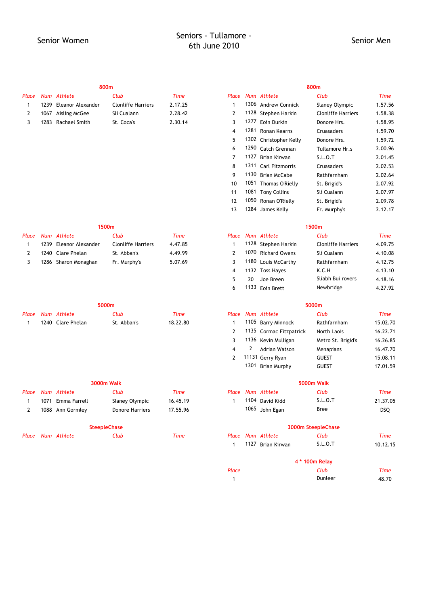|  | 800m                   |                           |         |           |      |
|--|------------------------|---------------------------|---------|-----------|------|
|  | Place Num Athlete      | Club                      | Time    | Place Num |      |
|  | 1239 Eleanor Alexander | <b>Clonliffe Harriers</b> | 2.17.25 |           | 1306 |
|  | 1067 Aisling McGee     | Slí Cualann               | 2.28.42 |           | 1128 |
|  | 1283 Rachael Smith     | St. Coca's                | 2.30.14 |           | 1277 |
|  |                        |                           |         |           | 1001 |

|              |      | 800m                 |                           |             |                |      |                         | 800m                      |             |
|--------------|------|----------------------|---------------------------|-------------|----------------|------|-------------------------|---------------------------|-------------|
| Place        |      | Num Athlete          | Club                      | <b>Time</b> | Place          |      | Num Athlete             | Club                      | <b>Time</b> |
| 1            | 1239 | Eleanor Alexander    | <b>Clonliffe Harriers</b> | 2.17.25     | $\mathbf{1}$   |      | 1306 Andrew Connick     | Slaney Olympic            | 1.57.56     |
| 2            |      | 1067 Aisling McGee   | Slí Cualann               | 2.28.42     | $\overline{2}$ |      | 1128 Stephen Harkin     | <b>Clonliffe Harriers</b> | 1.58.38     |
| 3            |      | 1283 Rachael Smith   | St. Coca's                | 2.30.14     | 3              | 1277 | Eoin Durkin             | Donore Hrs.               | 1.58.95     |
|              |      |                      |                           |             | $\overline{4}$ | 1281 | Ronan Kearns            | Cruasaders                | 1.59.70     |
|              |      |                      |                           |             | 5              |      | 1302 Christopher Kelly  | Donore Hrs.               | 1.59.72     |
|              |      |                      |                           |             | 6              | 1290 | Catch Grennan           | Tullamore Hr.s            | 2.00.96     |
|              |      |                      |                           |             | $\overline{7}$ | 1127 | Brian Kirwan            | S.L.O.T                   | 2.01.45     |
|              |      |                      |                           |             | 8              | 1311 | Carl Fitzmorris         | Cruasaders                | 2.02.53     |
|              |      |                      |                           |             | 9              |      | 1130 Brian McCabe       | Rathfarnham               | 2.02.64     |
|              |      |                      |                           |             | 10             |      | 1051 Thomas O'Rielly    | St. Brigid's              | 2.07.92     |
|              |      |                      |                           |             | 11             |      | 1081 Tony Collins       | Slí Cualann               | 2.07.97     |
|              |      |                      |                           |             | 12             |      | 1050 Ronan O'Rielly     | St. Brigid's              | 2.09.78     |
|              |      |                      |                           |             | 13             |      | 1284 James Kelly        | Fr. Murphy's              | 2.12.17     |
|              |      | 1500m                |                           |             |                |      |                         | 1500m                     |             |
| Place        |      | Num Athlete          | Club                      | <b>Time</b> | Place          |      | Num Athlete             | Club                      | <b>Time</b> |
| $\mathbf{1}$ | 1239 | Eleanor Alexander    | <b>Clonliffe Harriers</b> | 4.47.85     | $\mathbf{1}$   |      | 1128 Stephen Harkin     | <b>Clonliffe Harriers</b> | 4.09.75     |
| 2            |      | 1240 Clare Phelan    | St. Abban's               | 4.49.99     | $\overline{2}$ |      | 1070 Richard Owens      | Slí Cualann               | 4.10.08     |
| 3            |      | 1286 Sharon Monaghan | Fr. Murphy's              | 5.07.69     | 3              | 1180 | Louis McCarthy          | Rathfarnham               | 4.12.75     |
|              |      |                      |                           |             | $\overline{4}$ |      | 1132 Toss Hayes         | K.C.H                     | 4.13.10     |
|              |      |                      |                           |             | 5              | 20   | Joe Breen               | Sliabh Bui rovers         | 4.18.16     |
|              |      |                      |                           |             | 6              |      | 1133 Eoin Brett         | Newbridge                 | 4.27.92     |
|              |      | 5000m                |                           |             |                |      |                         | 5000m                     |             |
| Place        |      | Num Athlete          | Club                      | <b>Time</b> | Place          |      | Num Athlete             | Club                      | <b>Time</b> |
| 1            |      | 1240 Clare Phelan    | St. Abban's               | 18.22.80    | $\mathbf{1}$   |      | 1105 Barry Minnock      | Rathfarnham               | 15.02.70    |
|              |      |                      |                           |             | $\overline{2}$ |      | 1135 Cormac Fitzpatrick | North Laois               | 16.22.71    |
|              |      |                      |                           |             | 3              |      | 1136 Kevin Mulligan     | Metro St. Brigid's        | 16.26.85    |
|              |      |                      |                           |             | $\overline{4}$ | 2    | <b>Adrian Watson</b>    | Menapians                 | 16.47.70    |
|              |      |                      |                           |             | $\overline{2}$ |      | 11131 Gerry Ryan        | <b>GUEST</b>              | 15.08.11    |
|              |      |                      |                           |             |                |      | 1301 Brian Murphy       | <b>GUEST</b>              | 17.01.59    |
|              |      |                      | <b>3000m Walk</b>         |             |                |      |                         | 5000m Walk                |             |
| Place        |      | Num Athlete          | Club                      | <b>Time</b> | Place          |      | Num Athlete             | Club                      | <b>Time</b> |
| 1            |      | 1071 Emma Farrell    | Slaney Olympic            | 16.45.19    | 1              |      | 1104 David Kidd         | S.L.O.T                   | 21.37.05    |
| 2            |      | 1088 Ann Gormley     | Donore Harriers           | 17.55.96    |                |      | 1065 John Egan          | <b>Bree</b>               | DSQ         |
|              |      | <b>SteepleChase</b>  |                           |             |                |      |                         | 3000m SteepleChase        |             |
|              |      | Place Num Athlete    | Club                      | <b>Time</b> |                |      | Place Num Athlete       | Club                      | <b>Time</b> |
|              |      |                      |                           |             | $\mathbf{1}$   |      | 1127 Brian Kirwan       | S.L.O.T                   | 10.12.15    |
|              |      |                      |                           |             |                |      |                         | 4 * 100m Relay            |             |
|              |      |                      |                           |             | Place          |      |                         | Club                      | <b>Time</b> |

1 48.70 Dunleer

|  | 1500m                  |                           |             |  |                     |  |
|--|------------------------|---------------------------|-------------|--|---------------------|--|
|  | Place Num Athlete      | Club                      | <b>Time</b> |  | Place Num Athlete   |  |
|  | 1239 Eleanor Alexander | <b>Clonliffe Harriers</b> | 4.47.85     |  | 1128 Stephen Harkir |  |
|  | 1240 Clare Phelan      | St. Abban's               | 4.49.99     |  | 1070 Richard Owens  |  |
|  | 1286 Sharon Monaghan   | Fr. Murphy's              | 5.07.69     |  | 1180 Louis McCarthy |  |
|  |                        |                           |             |  |                     |  |

| 5000m |  |                   |             |          | 5000m |                               |                    |             |
|-------|--|-------------------|-------------|----------|-------|-------------------------------|--------------------|-------------|
|       |  | Place Num Athlete | Club        | Time     |       | Place Num Athlete             |                    | Club        |
|       |  | 1240 Clare Phelan | St. Abban's | 18.22.80 |       | $\cdot$ $\cdot$ $\sim$ $\sim$ | 1105 Barry Minnock | Rathfarnham |

| <b>3000m Walk</b> |      |                   |                        |          | 5000m Wall |  |                   |                |
|-------------------|------|-------------------|------------------------|----------|------------|--|-------------------|----------------|
|                   |      | Place Num Athlete | Club                   | Time     |            |  | Place Num Athlete | Club           |
|                   | 1071 | Emma Farrell      | Slaney Olympic         | 16.45.19 |            |  | 1104 David Kidd   | S.L.           |
|                   |      | 1088 Ann Gormley  | <b>Donore Harriers</b> | 17.55.96 |            |  | 1065 John Egan    | <b>Bree</b>    |
|                   |      |                   | <b>SteepleChase</b>    |          |            |  |                   | 3000m SteepleC |
| Place             |      | Num Athlete       | Club                   | Time     |            |  | Place Num Athlete | Club           |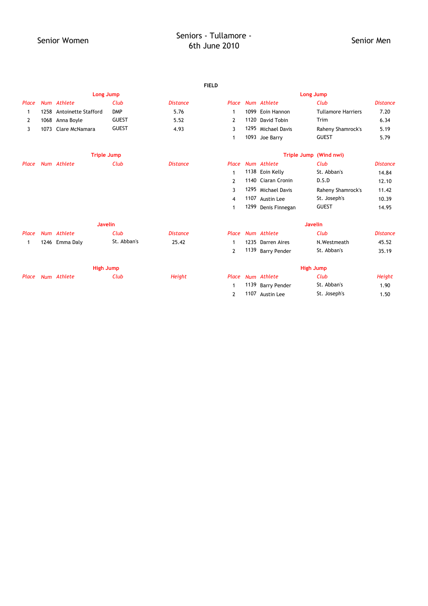|                |      |                          |                    |                 | <b>FIELD</b>     |  |                     |                           |                 |  |
|----------------|------|--------------------------|--------------------|-----------------|------------------|--|---------------------|---------------------------|-----------------|--|
|                |      |                          | Long Jump          |                 | <b>Long Jump</b> |  |                     |                           |                 |  |
| Place          |      | Num Athlete              | Club               | <b>Distance</b> | Place            |  | Num Athlete         | Club                      | <b>Distance</b> |  |
| 1              |      | 1258 Antoinette Stafford | <b>DMP</b>         | 5.76            | $\mathbf{1}$     |  | 1099 Eoin Hannon    | <b>Tullamore Harriers</b> | 7.20            |  |
| $\overline{2}$ |      | 1068 Anna Boyle          | <b>GUEST</b>       | 5.52            | $\overline{2}$   |  | 1120 David Tobin    | Trim                      | 6.34            |  |
| 3              | 1073 | Clare McNamara           | <b>GUEST</b>       | 4.93            | 3                |  | 1295 Michael Davis  | Raheny Shamrock's         | 5.19            |  |
|                |      |                          |                    |                 | $\mathbf{1}$     |  | 1093 Joe Barry      | <b>GUEST</b>              | 5.79            |  |
|                |      |                          | <b>Triple Jump</b> |                 |                  |  | <b>Triple Jump</b>  | (Wind nwi)                |                 |  |
| Place          |      | Num Athlete              | Club               | <b>Distance</b> | Place            |  | Num Athlete         | Club                      | <b>Distance</b> |  |
|                |      |                          |                    |                 | 1                |  | 1138 Eoin Kelly     | St. Abban's               | 14.84           |  |
|                |      |                          |                    |                 | $\overline{2}$   |  | 1140 Ciaran Cronin  | D.S.D                     | 12.10           |  |
|                |      |                          |                    |                 | 3                |  | 1295 Michael Davis  | Raheny Shamrock's         | 11.42           |  |
|                |      |                          |                    |                 | 4                |  | 1107 Austin Lee     | St. Joseph's              | 10.39           |  |
|                |      |                          |                    |                 | $\mathbf{1}$     |  | 1299 Denis Finnegan | <b>GUEST</b>              | 14.95           |  |
|                |      |                          | <b>Javelin</b>     |                 |                  |  |                     | <b>Javelin</b>            |                 |  |
| Place          |      | Num Athlete              | Club               | <b>Distance</b> | Place            |  | Num Athlete         | Club                      | <b>Distance</b> |  |
| 1              |      | 1246 Emma Daly           | St. Abban's        | 25.42           | $\mathbf{1}$     |  | 1235 Darren Aires   | N.Westmeath               | 45.52           |  |
|                |      |                          |                    |                 | $\overline{2}$   |  | 1139 Barry Pender   | St. Abban's               | 35.19           |  |
|                |      |                          | <b>High Jump</b>   |                 |                  |  |                     | <b>High Jump</b>          |                 |  |
| Place          |      | Num Athlete              | Club               | Height          | Place            |  | Num Athlete         | Club                      | Height          |  |
|                |      |                          |                    |                 | $\mathbf{1}$     |  | 1139 Barry Pender   | St. Abban's               | 1.90            |  |
|                |      |                          |                    |                 | 2                |  | 1107 Austin Lee     | St. Joseph's              | 1.50            |  |